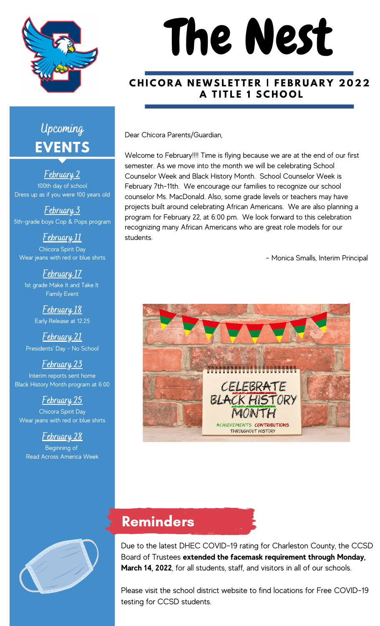

# The Nest

#### CHICORA NEWSLETTER | FEBRUARY 2022 **A T I T L E 1 S C H O O L**

Dear Chicora Parents/Guardian,

Welcome to February!!!! Time is flying because we are at the end of our first semester. As we move into the month we will be celebrating School Counselor Week and Black History Month. School Counselor Week is February 7th-11th. We encourage our families to recognize our school counselor Ms. MacDonald. Also, some grade levels or teachers may have projects built around celebrating African Americans. We are also planning a program for February 22, at 6:00 pm. We look forward to this celebration recognizing many African Americans who are great role models for our students.

- Monica Smalls, Interim Principal



#### Reminders

Due to the latest DHEC COVID-19 rating for Charleston County, the CCSD Board of Trustees **extended the facemask requirement through Monday, March 14, 2022**, for all students, staff, and visitors in all of our schools.

Please visit the school district website to find locations for Free COVID-19 testing for CCSD students.

# **EVENTS Upcoming**

**February 2** 100th day of school Dress up as if you were 100 years old

**February 3** 5th-grade boys Cop & Pops program

**February 11** Chicora Spirit Day Wear jeans with red or blue shirts

**February 17** 1st grade Make It and Take It Family Event

> **February 18** Early Release at 12:25

**February 21** Presidents' Day - No School

**February 23** Interim reports sent home Black History Month program at 6:00

**February 25** Chicora Spirit Day Wear jeans with red or blue shirts

#### **February 28**

Beginning of Read Across America Week

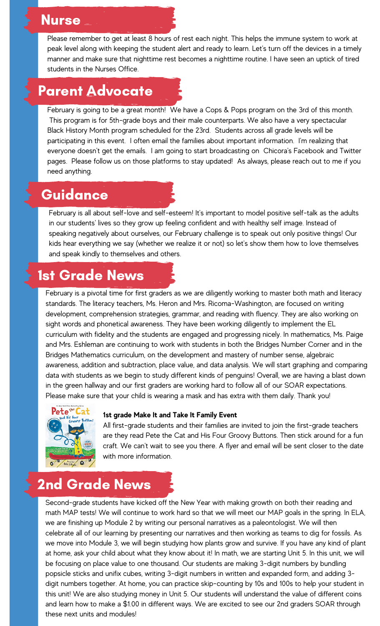#### Nurse

Please remember to get at least 8 hours of rest each night. This helps the immune system to work at peak level along with keeping the student alert and ready to learn. Let's turn off the devices in a timely manner and make sure that nighttime rest becomes a nighttime routine. I have seen an uptick of tired students in the Nurses Office.

#### Parent Advocate

February is going to be a great month! We have a Cops & Pops program on the 3rd of this month. This program is for 5th-grade boys and their male counterparts. We also have a very spectacular Black History Month program scheduled for the 23rd. Students across all grade levels will be participating in this event. I often email the families about important information. I'm realizing that everyone doesn't get the emails. I am going to start broadcasting on Chicora's Facebook and Twitter pages. Please follow us on those platforms to stay updated! As always, please reach out to me if you need anything.

#### Guidance

February is all about self-love and self-esteem! It's important to model positive self-talk as the adults in our students' lives so they grow up feeling confident and with healthy self image. Instead of speaking negatively about ourselves, our February challenge is to speak out only positive things! Our kids hear everything we say (whether we realize it or not) so let's show them how to love themselves and speak kindly to themselves and others.

#### 1st Grade News

February is a pivotal time for first graders as we are diligently working to master both math and literacy standards. The literacy teachers, Ms. Heron and Mrs. Ricoma-Washington, are focused on writing development, comprehension strategies, grammar, and reading with fluency. They are also working on sight words and phonetical awareness. They have been working diligently to implement the EL curriculum with fidelity and the students are engaged and progressing nicely. In mathematics, Ms. Paige and Mrs. Eshleman are continuing to work with students in both the Bridges Number Corner and in the Bridges Mathematics curriculum, on the development and mastery of number sense, algebraic awareness, addition and subtraction, place value, and data analysis. We will start graphing and comparing data with students as we begin to study different kinds of penguins! Overall, we are having a blast down in the green hallway and our first graders are working hard to follow all of our SOAR expectations. Please make sure that your child is wearing a mask and has extra with them daily. Thank you!



#### **1st grade Make It and Take It Family Event**

All first-grade students and their families are invited to join the first-grade teachers are they read Pete the Cat and His Four Groovy Buttons. Then stick around for a fun craft. We can't wait to see you there. A flyer and email will be sent closer to the date with more information.

# 2nd Grade News

Second-grade students have kicked off the New Year with making growth on both their reading and math MAP tests! We will continue to work hard so that we will meet our MAP goals in the spring. In ELA, we are finishing up Module 2 by writing our personal narratives as a paleontologist. We will then celebrate all of our learning by presenting our narratives and then working as teams to dig for fossils. As we move into Module 3, we will begin studying how plants grow and survive. If you have any kind of plant at home, ask your child about what they know about it! In math, we are starting Unit 5. In this unit, we will be focusing on place value to one thousand. Our students are making 3-digit numbers by bundling popsicle sticks and unifix cubes, writing 3-digit numbers in written and expanded form, and adding 3 digit numbers together. At home, you can practice skip-counting by 10s and 100s to help your student in this unit! We are also studying money in Unit 5. Our students will understand the value of different coins and learn how to make a \$1.00 in different ways. We are excited to see our 2nd graders SOAR through these next units and modules!